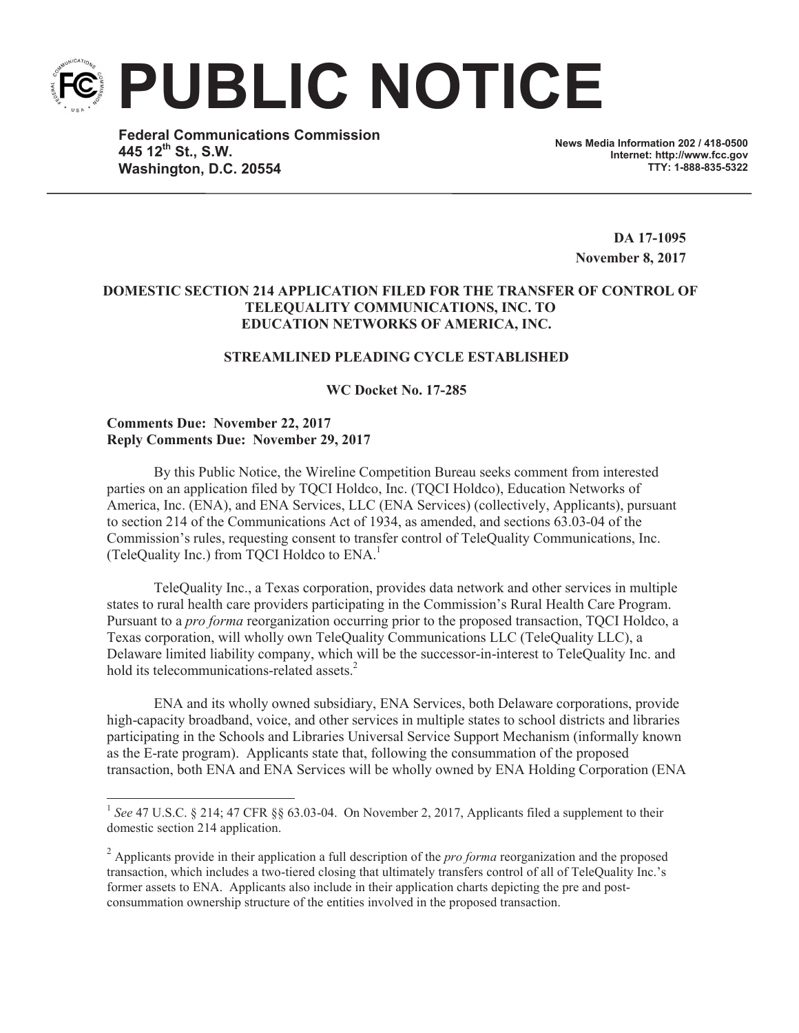**PUBLIC NOTICE**

**Federal Communications Commission 445 12th St., S.W. Washington, D.C. 20554**

**News Media Information 202 / 418-0500 Internet: http://www.fcc.gov TTY: 1-888-835-5322**

**DA 17-1095 November 8, 2017**

# **DOMESTIC SECTION 214 APPLICATION FILED FOR THE TRANSFER OF CONTROL OF TELEQUALITY COMMUNICATIONS, INC. TO EDUCATION NETWORKS OF AMERICA, INC.**

# **STREAMLINED PLEADING CYCLE ESTABLISHED**

**WC Docket No. 17-285**

## **Comments Due: November 22, 2017 Reply Comments Due: November 29, 2017**

By this Public Notice, the Wireline Competition Bureau seeks comment from interested parties on an application filed by TQCI Holdco, Inc. (TQCI Holdco), Education Networks of America, Inc. (ENA), and ENA Services, LLC (ENA Services) (collectively, Applicants), pursuant to section 214 of the Communications Act of 1934, as amended, and sections 63.03-04 of the Commission's rules, requesting consent to transfer control of TeleQuality Communications, Inc. (TeleQuality Inc.) from TQCI Holdco to ENA. 1

TeleQuality Inc., a Texas corporation, provides data network and other services in multiple states to rural health care providers participating in the Commission's Rural Health Care Program. Pursuant to a *pro forma* reorganization occurring prior to the proposed transaction, TQCI Holdco, a Texas corporation, will wholly own TeleQuality Communications LLC (TeleQuality LLC), a Delaware limited liability company, which will be the successor-in-interest to TeleQuality Inc. and hold its telecommunications-related assets.<sup>2</sup>

ENA and its wholly owned subsidiary, ENA Services, both Delaware corporations, provide high-capacity broadband, voice, and other services in multiple states to school districts and libraries participating in the Schools and Libraries Universal Service Support Mechanism (informally known as the E-rate program). Applicants state that, following the consummation of the proposed transaction, both ENA and ENA Services will be wholly owned by ENA Holding Corporation (ENA

<sup>&</sup>lt;sup>1</sup> See 47 U.S.C. § 214; 47 CFR §§ 63.03-04. On November 2, 2017, Applicants filed a supplement to their domestic section 214 application.

<sup>2</sup> Applicants provide in their application a full description of the *pro forma* reorganization and the proposed transaction, which includes a two-tiered closing that ultimately transfers control of all of TeleQuality Inc.'s former assets to ENA. Applicants also include in their application charts depicting the pre and postconsummation ownership structure of the entities involved in the proposed transaction.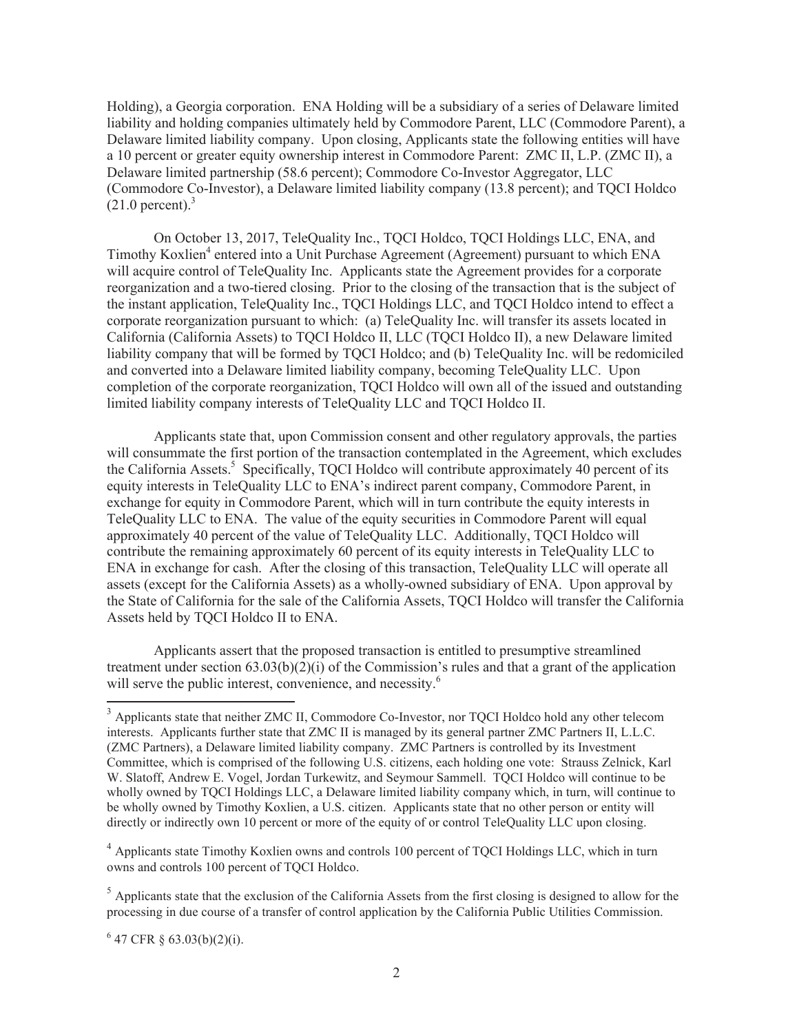Holding), a Georgia corporation. ENA Holding will be a subsidiary of a series of Delaware limited liability and holding companies ultimately held by Commodore Parent, LLC (Commodore Parent), a Delaware limited liability company. Upon closing, Applicants state the following entities will have a 10 percent or greater equity ownership interest in Commodore Parent: ZMC II, L.P. (ZMC II), a Delaware limited partnership (58.6 percent); Commodore Co-Investor Aggregator, LLC (Commodore Co-Investor), a Delaware limited liability company (13.8 percent); and TQCI Holdco  $(21.0 \text{ percent})$ .<sup>3</sup>

On October 13, 2017, TeleQuality Inc., TQCI Holdco, TQCI Holdings LLC, ENA, and Timothy Koxlien<sup>4</sup> entered into a Unit Purchase Agreement (Agreement) pursuant to which ENA will acquire control of TeleQuality Inc. Applicants state the Agreement provides for a corporate reorganization and a two-tiered closing. Prior to the closing of the transaction that is the subject of the instant application, TeleQuality Inc., TQCI Holdings LLC, and TQCI Holdco intend to effect a corporate reorganization pursuant to which: (a) TeleQuality Inc. will transfer its assets located in California (California Assets) to TQCI Holdco II, LLC (TQCI Holdco II), a new Delaware limited liability company that will be formed by TQCI Holdco; and (b) TeleQuality Inc. will be redomiciled and converted into a Delaware limited liability company, becoming TeleQuality LLC. Upon completion of the corporate reorganization, TQCI Holdco will own all of the issued and outstanding limited liability company interests of TeleQuality LLC and TQCI Holdco II.

Applicants state that, upon Commission consent and other regulatory approvals, the parties will consummate the first portion of the transaction contemplated in the Agreement, which excludes the California Assets.<sup>5</sup> Specifically, TQCI Holdco will contribute approximately 40 percent of its equity interests in TeleQuality LLC to ENA's indirect parent company, Commodore Parent, in exchange for equity in Commodore Parent, which will in turn contribute the equity interests in TeleQuality LLC to ENA. The value of the equity securities in Commodore Parent will equal approximately 40 percent of the value of TeleQuality LLC. Additionally, TQCI Holdco will contribute the remaining approximately 60 percent of its equity interests in TeleQuality LLC to ENA in exchange for cash. After the closing of this transaction, TeleQuality LLC will operate all assets (except for the California Assets) as a wholly-owned subsidiary of ENA. Upon approval by the State of California for the sale of the California Assets, TQCI Holdco will transfer the California Assets held by TQCI Holdco II to ENA.

Applicants assert that the proposed transaction is entitled to presumptive streamlined treatment under section  $(63.03(b)(2)(i)$  of the Commission's rules and that a grant of the application will serve the public interest, convenience, and necessity.<sup>6</sup>

 $647$  CFR § 63.03(b)(2)(i).

<sup>&</sup>lt;sup>3</sup> Applicants state that neither ZMC II, Commodore Co-Investor, nor TOCI Holdco hold any other telecom interests. Applicants further state that ZMC II is managed by its general partner ZMC Partners II, L.L.C. (ZMC Partners), a Delaware limited liability company. ZMC Partners is controlled by its Investment Committee, which is comprised of the following U.S. citizens, each holding one vote: Strauss Zelnick, Karl W. Slatoff, Andrew E. Vogel, Jordan Turkewitz, and Seymour Sammell. TQCI Holdco will continue to be wholly owned by TQCI Holdings LLC, a Delaware limited liability company which, in turn, will continue to be wholly owned by Timothy Koxlien, a U.S. citizen. Applicants state that no other person or entity will directly or indirectly own 10 percent or more of the equity of or control TeleQuality LLC upon closing.

<sup>&</sup>lt;sup>4</sup> Applicants state Timothy Koxlien owns and controls 100 percent of TQCI Holdings LLC, which in turn owns and controls 100 percent of TQCI Holdco.

 $<sup>5</sup>$  Applicants state that the exclusion of the California Assets from the first closing is designed to allow for the</sup> processing in due course of a transfer of control application by the California Public Utilities Commission.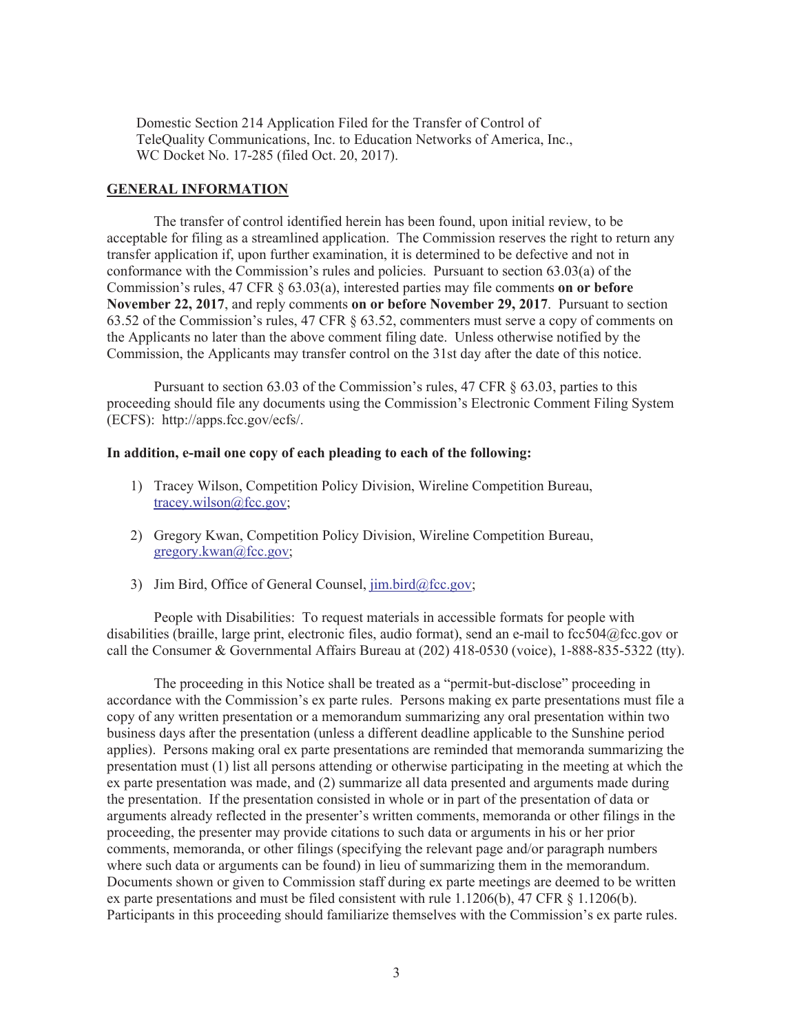Domestic Section 214 Application Filed for the Transfer of Control of TeleQuality Communications, Inc. to Education Networks of America, Inc., WC Docket No. 17-285 (filed Oct. 20, 2017).

#### **GENERAL INFORMATION**

The transfer of control identified herein has been found, upon initial review, to be acceptable for filing as a streamlined application. The Commission reserves the right to return any transfer application if, upon further examination, it is determined to be defective and not in conformance with the Commission's rules and policies. Pursuant to section 63.03(a) of the Commission's rules, 47 CFR § 63.03(a), interested parties may file comments **on or before November 22, 2017**, and reply comments **on or before November 29, 2017**. Pursuant to section 63.52 of the Commission's rules, 47 CFR § 63.52, commenters must serve a copy of comments on the Applicants no later than the above comment filing date. Unless otherwise notified by the Commission, the Applicants may transfer control on the 31st day after the date of this notice.

Pursuant to section 63.03 of the Commission's rules, 47 CFR § 63.03, parties to this proceeding should file any documents using the Commission's Electronic Comment Filing System (ECFS): http://apps.fcc.gov/ecfs/.

### **In addition, e-mail one copy of each pleading to each of the following:**

- 1) Tracey Wilson, Competition Policy Division, Wireline Competition Bureau, tracey.wilson@fcc.gov;
- 2) Gregory Kwan, Competition Policy Division, Wireline Competition Bureau, gregory.kwan@fcc.gov;
- 3) Jim Bird, Office of General Counsel, jim.bird@fcc.gov;

People with Disabilities: To request materials in accessible formats for people with disabilities (braille, large print, electronic files, audio format), send an e-mail to fcc504@fcc.gov or call the Consumer & Governmental Affairs Bureau at (202) 418-0530 (voice), 1-888-835-5322 (tty).

The proceeding in this Notice shall be treated as a "permit-but-disclose" proceeding in accordance with the Commission's ex parte rules. Persons making ex parte presentations must file a copy of any written presentation or a memorandum summarizing any oral presentation within two business days after the presentation (unless a different deadline applicable to the Sunshine period applies). Persons making oral ex parte presentations are reminded that memoranda summarizing the presentation must (1) list all persons attending or otherwise participating in the meeting at which the ex parte presentation was made, and (2) summarize all data presented and arguments made during the presentation. If the presentation consisted in whole or in part of the presentation of data or arguments already reflected in the presenter's written comments, memoranda or other filings in the proceeding, the presenter may provide citations to such data or arguments in his or her prior comments, memoranda, or other filings (specifying the relevant page and/or paragraph numbers where such data or arguments can be found) in lieu of summarizing them in the memorandum. Documents shown or given to Commission staff during ex parte meetings are deemed to be written ex parte presentations and must be filed consistent with rule 1.1206(b), 47 CFR § 1.1206(b). Participants in this proceeding should familiarize themselves with the Commission's ex parte rules.